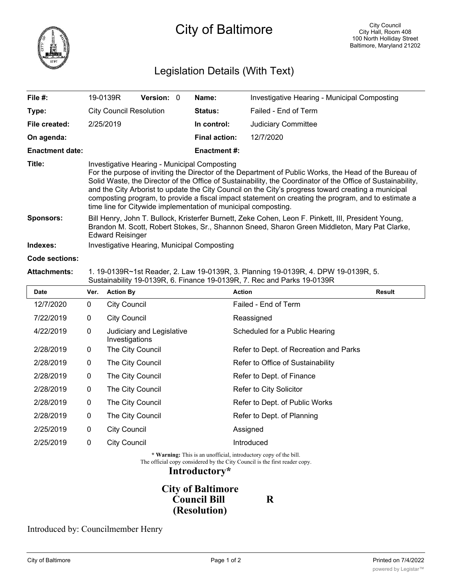

# Legislation Details (With Text)

| File #:                | 19-0139R                                                                                                                                                                                                                                                                                                                                                                                                                                                                                                                                             | <b>Version:</b> 0 |  | Name:                | Investigative Hearing - Municipal Composting |  |
|------------------------|------------------------------------------------------------------------------------------------------------------------------------------------------------------------------------------------------------------------------------------------------------------------------------------------------------------------------------------------------------------------------------------------------------------------------------------------------------------------------------------------------------------------------------------------------|-------------------|--|----------------------|----------------------------------------------|--|
| Type:                  | <b>City Council Resolution</b>                                                                                                                                                                                                                                                                                                                                                                                                                                                                                                                       |                   |  | Status:              | Failed - End of Term                         |  |
| File created:          | 2/25/2019                                                                                                                                                                                                                                                                                                                                                                                                                                                                                                                                            |                   |  | In control:          | <b>Judiciary Committee</b>                   |  |
| On agenda:             |                                                                                                                                                                                                                                                                                                                                                                                                                                                                                                                                                      |                   |  | <b>Final action:</b> | 12/7/2020                                    |  |
| <b>Enactment date:</b> |                                                                                                                                                                                                                                                                                                                                                                                                                                                                                                                                                      |                   |  | <b>Enactment #:</b>  |                                              |  |
| Title:                 | Investigative Hearing - Municipal Composting<br>For the purpose of inviting the Director of the Department of Public Works, the Head of the Bureau of<br>Solid Waste, the Director of the Office of Sustainability, the Coordinator of the Office of Sustainability,<br>and the City Arborist to update the City Council on the City's progress toward creating a municipal<br>composting program, to provide a fiscal impact statement on creating the program, and to estimate a<br>time line for Citywide implementation of municipal composting. |                   |  |                      |                                              |  |
| <b>Sponsors:</b>       | Bill Henry, John T. Bullock, Kristerfer Burnett, Zeke Cohen, Leon F. Pinkett, III, President Young,<br>Brandon M. Scott, Robert Stokes, Sr., Shannon Sneed, Sharon Green Middleton, Mary Pat Clarke,<br><b>Edward Reisinger</b>                                                                                                                                                                                                                                                                                                                      |                   |  |                      |                                              |  |
| Indexes:               | Investigative Hearing, Municipal Composting                                                                                                                                                                                                                                                                                                                                                                                                                                                                                                          |                   |  |                      |                                              |  |
|                        |                                                                                                                                                                                                                                                                                                                                                                                                                                                                                                                                                      |                   |  |                      |                                              |  |

#### **Code sections:**

### **Attachments:** 1. 19-0139R~1st Reader, 2. Law 19-0139R, 3. Planning 19-0139R, 4. DPW 19-0139R, 5. Sustainability 19-0139R, 6. Finance 19-0139R, 7. Rec and Parks 19-0139R

| <b>Date</b> | Ver. | <b>Action By</b>                            | <b>Action</b>                          | <b>Result</b> |
|-------------|------|---------------------------------------------|----------------------------------------|---------------|
| 12/7/2020   | 0    | <b>City Council</b>                         | Failed - End of Term                   |               |
| 7/22/2019   | 0    | <b>City Council</b>                         | Reassigned                             |               |
| 4/22/2019   | 0    | Judiciary and Legislative<br>Investigations | Scheduled for a Public Hearing         |               |
| 2/28/2019   | 0    | The City Council                            | Refer to Dept. of Recreation and Parks |               |
| 2/28/2019   | 0    | The City Council                            | Refer to Office of Sustainability      |               |
| 2/28/2019   | 0    | The City Council                            | Refer to Dept. of Finance              |               |
| 2/28/2019   | 0    | The City Council                            | Refer to City Solicitor                |               |
| 2/28/2019   | 0    | The City Council                            | Refer to Dept. of Public Works         |               |
| 2/28/2019   | 0    | The City Council                            | Refer to Dept. of Planning             |               |
| 2/25/2019   | 0    | <b>City Council</b>                         | Assigned                               |               |
| 2/25/2019   | 0    | <b>City Council</b>                         | Introduced                             |               |
|             |      |                                             |                                        |               |

**\* Warning:** This is an unofficial, introductory copy of the bill.

The official copy considered by the City Council is the first reader copy.

### **Introductory\***

# **City of Baltimore Council Bill R (Resolution)**

### Introduced by: Councilmember Henry